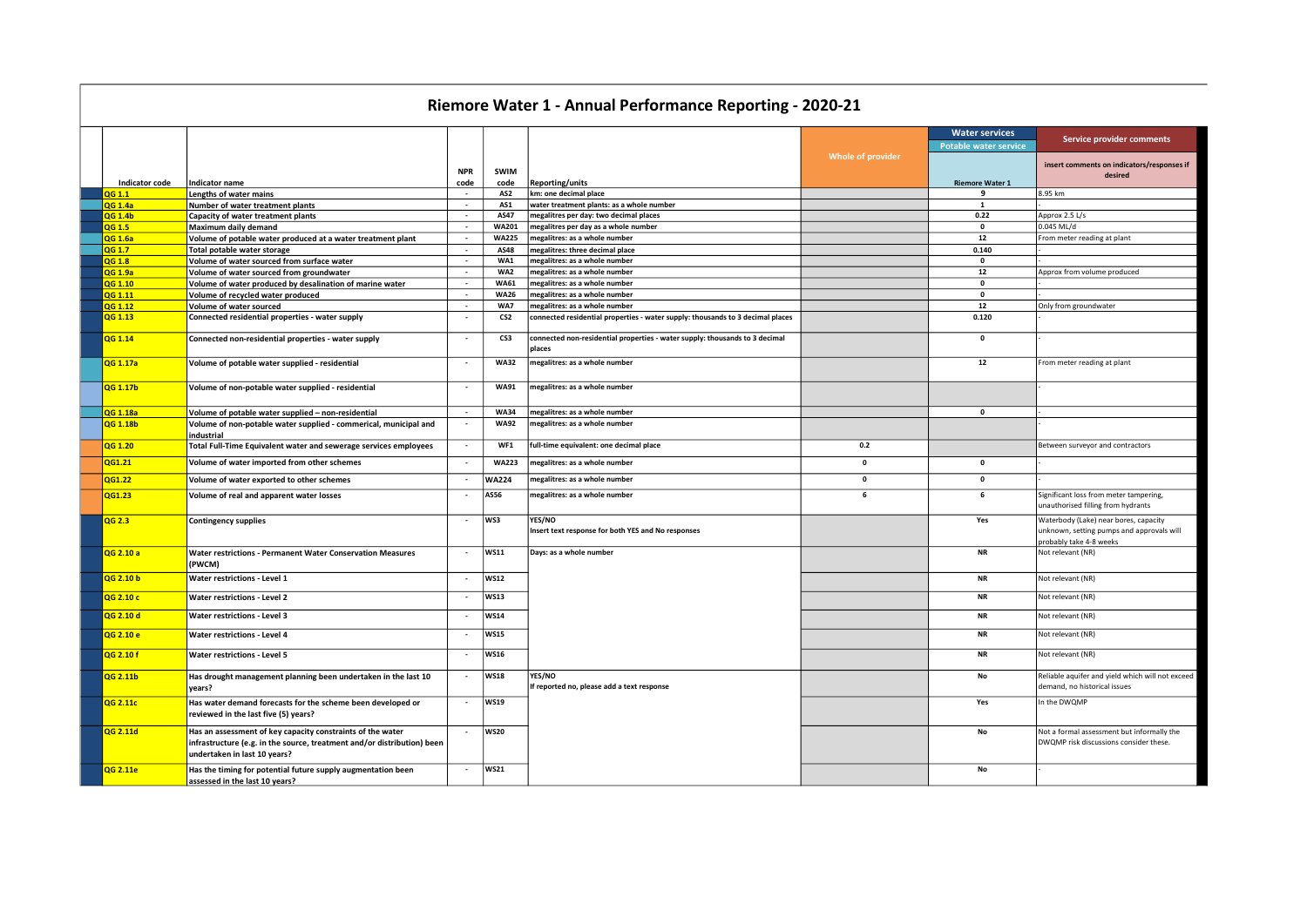## Riemore Water 1 - Annual Performance Reporting - 2020-21

|                       |                                                                                                                                                                       |                          |                 |                                                                                       |                   | <b>Water services</b>        | Service provider comments                                                                                     |
|-----------------------|-----------------------------------------------------------------------------------------------------------------------------------------------------------------------|--------------------------|-----------------|---------------------------------------------------------------------------------------|-------------------|------------------------------|---------------------------------------------------------------------------------------------------------------|
|                       |                                                                                                                                                                       |                          |                 |                                                                                       |                   | <b>Potable water service</b> |                                                                                                               |
|                       |                                                                                                                                                                       |                          |                 |                                                                                       | Whole of provider |                              | insert comments on indicators/responses if                                                                    |
|                       |                                                                                                                                                                       | <b>NPR</b>               | <b>SWIM</b>     |                                                                                       |                   |                              | desired                                                                                                       |
| <b>Indicator code</b> | Indicator name                                                                                                                                                        | code                     | code            | <b>Reporting/units</b>                                                                |                   | <b>Riemore Water 1</b>       |                                                                                                               |
| <b>OG 1.1</b>         | Lengths of water mains                                                                                                                                                | $\sim$                   | AS2             | km: one decimal place                                                                 |                   | 9                            | 8.95 km                                                                                                       |
| <b>QG 1.4a</b>        | Number of water treatment plants                                                                                                                                      | $\sim$                   | AS1             | water treatment plants: as a whole number                                             |                   | $\mathbf{1}$                 |                                                                                                               |
| <b>OG 1.4b</b>        | Capacity of water treatment plants                                                                                                                                    | $\sim$                   | AS47            | megalitres per day: two decimal places                                                |                   | 0.22                         | Approx 2.5 L/s                                                                                                |
| <b>OG 1.5</b>         | Maximum daily demand                                                                                                                                                  | $\sim$                   | <b>WA201</b>    | megalitres per day as a whole number                                                  |                   | $\mathbf{0}$                 | $0.045$ ML/d                                                                                                  |
| <b>QG 1.6a</b>        | Volume of potable water produced at a water treatment plant                                                                                                           | $\sim$                   | <b>WA225</b>    | megalitres: as a whole number                                                         |                   | 12                           | From meter reading at plant                                                                                   |
| QG 1.7                | Total potable water storage                                                                                                                                           | $\overline{\phantom{a}}$ | AS48            | megalitres: three decimal place                                                       |                   | 0.140                        |                                                                                                               |
| QG 1.8                | Volume of water sourced from surface water                                                                                                                            | $\sim$                   | WA1             | megalitres: as a whole number                                                         |                   | $\mathbf{0}$                 |                                                                                                               |
| QG 1.9a               | Volume of water sourced from groundwater                                                                                                                              | $\sim$                   | WA2             | megalitres: as a whole number                                                         |                   | 12                           | Approx from volume produced                                                                                   |
| QG 1.10               | Volume of water produced by desalination of marine water                                                                                                              | $\sim$                   | <b>WA61</b>     | megalitres: as a whole number                                                         |                   | $\mathbf 0$                  |                                                                                                               |
| QG 1.11               | Volume of recycled water produced                                                                                                                                     | $\sim$                   | <b>WA26</b>     | megalitres: as a whole number                                                         |                   | $\pmb{0}$                    |                                                                                                               |
| QG 1.12               | Volume of water sourced                                                                                                                                               | $\sim$                   | WA7             | megalitres: as a whole number                                                         |                   | $12\,$                       | Only from groundwater                                                                                         |
| QG 1.13               | Connected residential properties - water supply                                                                                                                       |                          | CS <sub>2</sub> | connected residential properties - water supply: thousands to 3 decimal places        |                   | 0.120                        |                                                                                                               |
| QG 1.14               | Connected non-residential properties - water supply                                                                                                                   | $\sim$                   | CS3             | connected non-residential properties - water supply: thousands to 3 decimal<br>places |                   | $\mathbf 0$                  |                                                                                                               |
| QG 1.17a              | Volume of potable water supplied - residential                                                                                                                        |                          | <b>WA32</b>     | megalitres: as a whole number                                                         |                   | 12                           | From meter reading at plant                                                                                   |
| QG 1.17b              | Volume of non-potable water supplied - residential                                                                                                                    | $\overline{\phantom{a}}$ | <b>WA91</b>     | megalitres: as a whole number                                                         |                   |                              |                                                                                                               |
| QG 1.18a              | Volume of potable water supplied - non-residential                                                                                                                    | $\sim$                   | <b>WA34</b>     | megalitres: as a whole number                                                         |                   | $\pmb{0}$                    |                                                                                                               |
| QG 1.18b              | Volume of non-potable water supplied - commerical, municipal and<br>industrial                                                                                        |                          | <b>WA92</b>     | megalitres: as a whole number                                                         |                   |                              |                                                                                                               |
| QG 1.20               | Total Full-Time Equivalent water and sewerage services employees                                                                                                      | $\overline{a}$           | WF1             | full-time equivalent: one decimal place                                               | 0.2               |                              | Between surveyor and contractors                                                                              |
| QG1.21                | Volume of water imported from other schemes                                                                                                                           |                          | <b>WA223</b>    | megalitres: as a whole number                                                         | $\mathbf{0}$      | $\mathbf{0}$                 |                                                                                                               |
| QG1.22                | Volume of water exported to other schemes                                                                                                                             |                          | <b>WA224</b>    | megalitres: as a whole number                                                         | $\mathbf 0$       | $\mathbf 0$                  |                                                                                                               |
| QG1.23                | Volume of real and apparent water losses                                                                                                                              |                          | <b>AS56</b>     | megalitres: as a whole number                                                         | 6                 | 6                            | Significant loss from meter tampering,<br>unauthorised filling from hydrants                                  |
| QG 2.3                | <b>Contingency supplies</b>                                                                                                                                           | $\sim$                   | WS3             | YES/NO<br>Insert text response for both YES and No responses                          |                   | Yes                          | Waterbody (Lake) near bores, capacity<br>unknown, setting pumps and approvals will<br>probably take 4-8 weeks |
| QG 2.10 a             | <b>Water restrictions - Permanent Water Conservation Measures</b><br>(PWCM)                                                                                           | $\overline{a}$           | <b>WS11</b>     | Days: as a whole number                                                               |                   | <b>NR</b>                    | Not relevant (NR)                                                                                             |
| QG 2.10 b             | Water restrictions - Level 1                                                                                                                                          | $\overline{a}$           | <b>WS12</b>     |                                                                                       |                   | <b>NR</b>                    | Not relevant (NR)                                                                                             |
| QG 2.10 c             | <b>Water restrictions - Level 2</b>                                                                                                                                   |                          | <b>WS13</b>     |                                                                                       |                   | <b>NR</b>                    | Not relevant (NR)                                                                                             |
| QG 2.10 d             | <b>Water restrictions - Level 3</b>                                                                                                                                   |                          | <b>WS14</b>     |                                                                                       |                   | <b>NR</b>                    | Not relevant (NR)                                                                                             |
| QG 2.10 e             | <b>Water restrictions - Level 4</b>                                                                                                                                   |                          | <b>WS15</b>     |                                                                                       |                   | <b>NR</b>                    | Not relevant (NR)                                                                                             |
| OG 2.10 f             | <b>Water restrictions - Level 5</b>                                                                                                                                   |                          | <b>WS16</b>     |                                                                                       |                   | <b>NR</b>                    | Not relevant (NR)                                                                                             |
| QG 2.11b              | Has drought management planning been undertaken in the last 10<br>vears?                                                                                              | $\sim$                   | <b>WS18</b>     | YES/NO<br>If reported no, please add a text response                                  |                   | No                           | Reliable aquifer and yield which will not exceed<br>demand, no historical issues                              |
| QG 2.11c              | Has water demand forecasts for the scheme been developed or<br>reviewed in the last five (5) years?                                                                   | $\sim$                   | WS19            |                                                                                       |                   | Yes                          | In the DWQMP                                                                                                  |
| QG 2.11d              | Has an assessment of key capacity constraints of the water<br>infrastructure (e.g. in the source, treatment and/or distribution) been<br>undertaken in last 10 years? |                          | <b>WS20</b>     |                                                                                       |                   | No                           | Not a formal assessment but informally the<br>DWQMP risk discussions consider these.                          |
| QG 2.11e              | Has the timing for potential future supply augmentation been<br>assessed in the last 10 years?                                                                        |                          | WS21            |                                                                                       |                   | <b>No</b>                    |                                                                                                               |